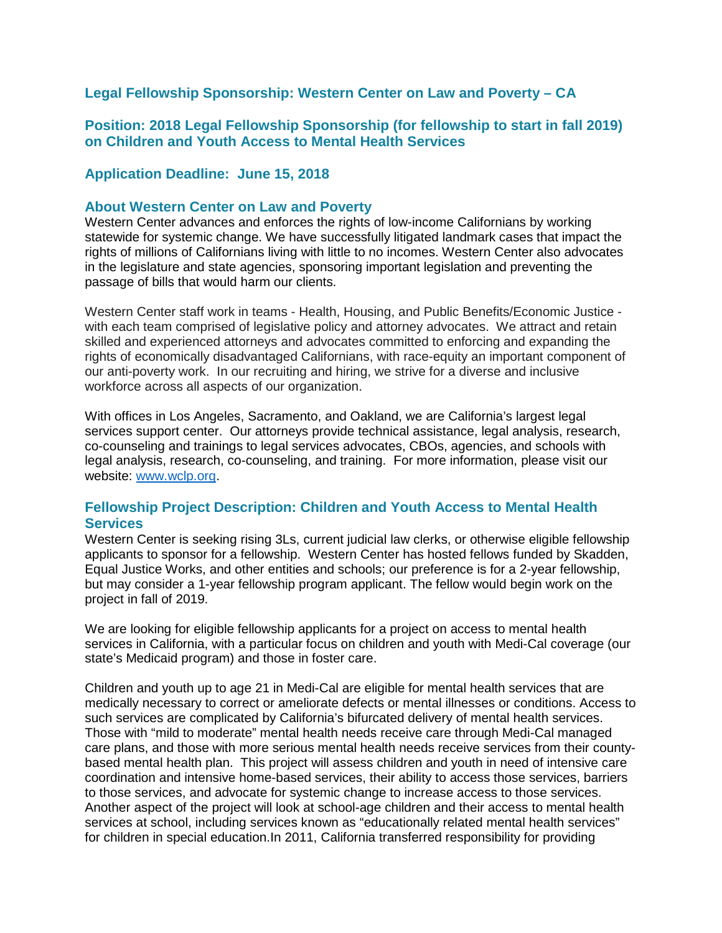### **Legal Fellowship Sponsorship: Western Center on Law and Poverty – CA**

### **Position: 2018 Legal Fellowship Sponsorship (for fellowship to start in fall 2019) on Children and Youth Access to Mental Health Services**

#### **Application Deadline: June 15, 2018**

#### **About Western Center on Law and Poverty**

Western Center advances and enforces the rights of low-income Californians by working statewide for systemic change. We have successfully litigated landmark cases that impact the rights of millions of Californians living with little to no incomes. Western Center also advocates in the legislature and state agencies, sponsoring important legislation and preventing the passage of bills that would harm our clients.

Western Center staff work in teams - Health, Housing, and Public Benefits/Economic Justice with each team comprised of legislative policy and attorney advocates. We attract and retain skilled and experienced attorneys and advocates committed to enforcing and expanding the rights of economically disadvantaged Californians, with race-equity an important component of our anti-poverty work. In our recruiting and hiring, we strive for a diverse and inclusive workforce across all aspects of our organization.

With offices in Los Angeles, Sacramento, and Oakland, we are California's largest legal services support center. Our attorneys provide technical assistance, legal analysis, research, co-counseling and trainings to legal services advocates, CBOs, agencies, and schools with legal analysis, research, co-counseling, and training. For more information, please visit our website: [www.wclp.org.](http://www.wclp.org/)

### **Fellowship Project Description: Children and Youth Access to Mental Health Services**

Western Center is seeking rising 3Ls, current judicial law clerks, or otherwise eligible fellowship applicants to sponsor for a fellowship. Western Center has hosted fellows funded by Skadden, Equal Justice Works, and other entities and schools; our preference is for a 2-year fellowship, but may consider a 1-year fellowship program applicant. The fellow would begin work on the project in fall of 2019.

We are looking for eligible fellowship applicants for a project on access to mental health services in California, with a particular focus on children and youth with Medi-Cal coverage (our state's Medicaid program) and those in foster care.

Children and youth up to age 21 in Medi-Cal are eligible for mental health services that are medically necessary to correct or ameliorate defects or mental illnesses or conditions. Access to such services are complicated by California's bifurcated delivery of mental health services. Those with "mild to moderate" mental health needs receive care through Medi-Cal managed care plans, and those with more serious mental health needs receive services from their countybased mental health plan. This project will assess children and youth in need of intensive care coordination and intensive home-based services, their ability to access those services, barriers to those services, and advocate for systemic change to increase access to those services. Another aspect of the project will look at school-age children and their access to mental health services at school, including services known as "educationally related mental health services" for children in special education.In 2011, California transferred responsibility for providing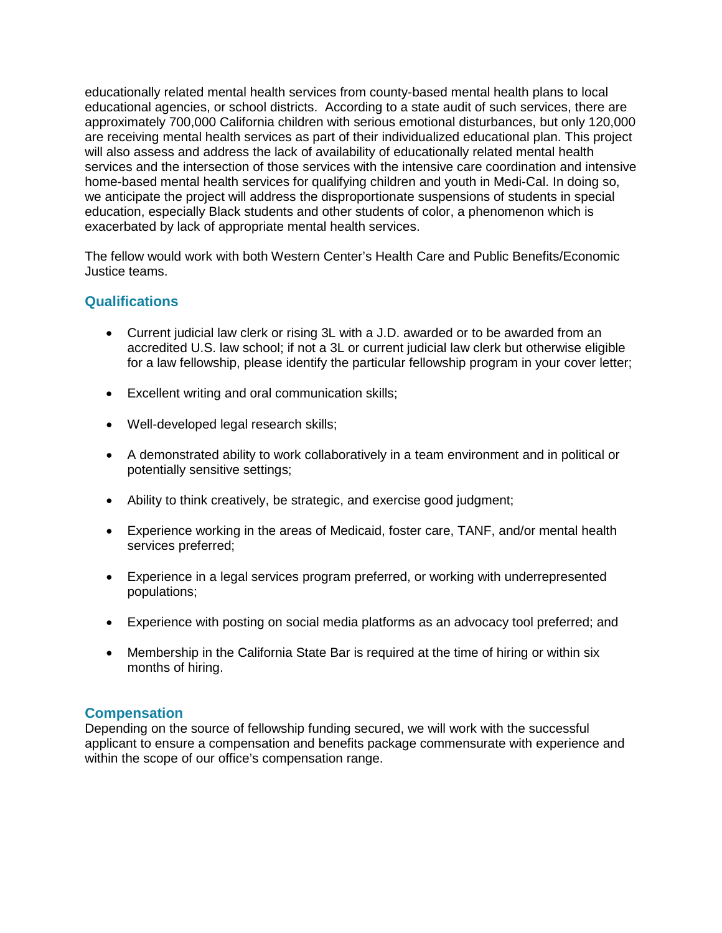educationally related mental health services from county-based mental health plans to local educational agencies, or school districts. According to a state audit of such services, there are approximately 700,000 California children with serious emotional disturbances, but only 120,000 are receiving mental health services as part of their individualized educational plan. This project will also assess and address the lack of availability of educationally related mental health services and the intersection of those services with the intensive care coordination and intensive home-based mental health services for qualifying children and youth in Medi-Cal. In doing so, we anticipate the project will address the disproportionate suspensions of students in special education, especially Black students and other students of color, a phenomenon which is exacerbated by lack of appropriate mental health services.

The fellow would work with both Western Center's Health Care and Public Benefits/Economic Justice teams.

# **Qualifications**

- Current judicial law clerk or rising 3L with a J.D. awarded or to be awarded from an accredited U.S. law school; if not a 3L or current judicial law clerk but otherwise eligible for a law fellowship, please identify the particular fellowship program in your cover letter;
- Excellent writing and oral communication skills;
- Well-developed legal research skills;
- A demonstrated ability to work collaboratively in a team environment and in political or potentially sensitive settings;
- Ability to think creatively, be strategic, and exercise good judgment;
- Experience working in the areas of Medicaid, foster care, TANF, and/or mental health services preferred;
- Experience in a legal services program preferred, or working with underrepresented populations;
- Experience with posting on social media platforms as an advocacy tool preferred; and
- Membership in the California State Bar is required at the time of hiring or within six months of hiring.

## **Compensation**

Depending on the source of fellowship funding secured, we will work with the successful applicant to ensure a compensation and benefits package commensurate with experience and within the scope of our office's compensation range.